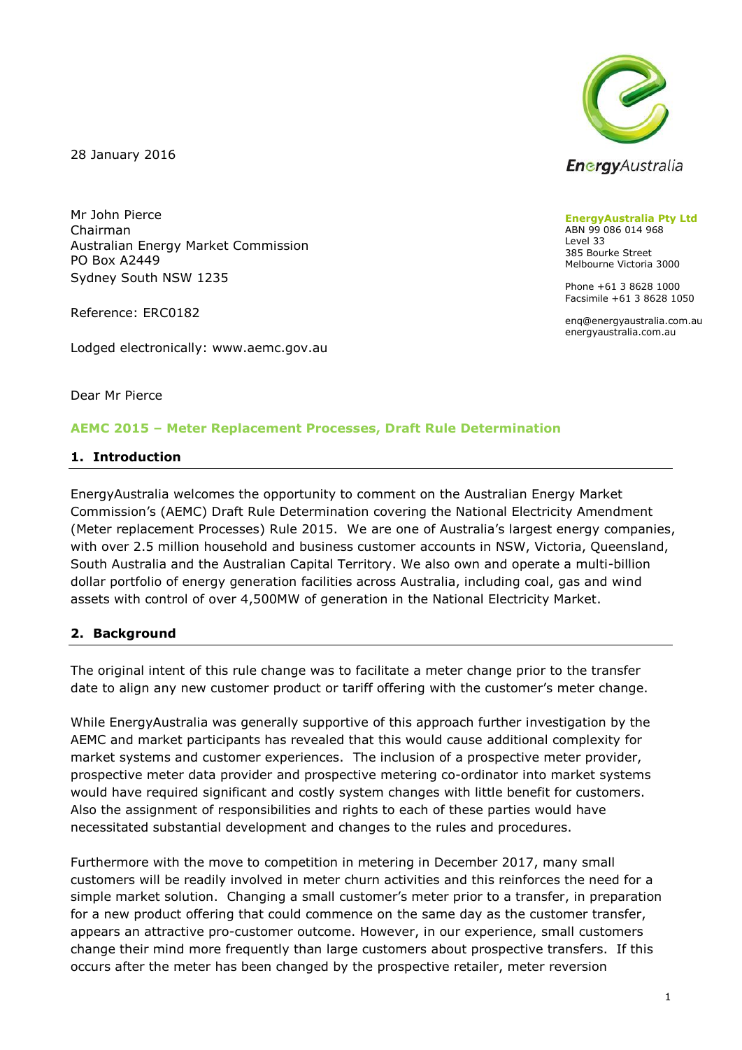28 January 2016



Reference: ERC0182

Lodged electronically: www.aemc.gov.au



**EnergyAustralia Pty Ltd** ABN 99 086 014 968 Level 33 385 Bourke Street Melbourne Victoria 3000

Phone +61 3 8628 1000 Facsimile +61 3 8628 1050

enq@energyaustralia.com.au energyaustralia.com.au

Dear Mr Pierce

#### **AEMC 2015 – Meter Replacement Processes, Draft Rule Determination**

#### **1. Introduction**

EnergyAustralia welcomes the opportunity to comment on the Australian Energy Market Commission's (AEMC) Draft Rule Determination covering the National Electricity Amendment (Meter replacement Processes) Rule 2015. We are one of Australia's largest energy companies, with over 2.5 million household and business customer accounts in NSW, Victoria, Queensland, South Australia and the Australian Capital Territory. We also own and operate a multi-billion dollar portfolio of energy generation facilities across Australia, including coal, gas and wind assets with control of over 4,500MW of generation in the National Electricity Market.

### **2. Background**

The original intent of this rule change was to facilitate a meter change prior to the transfer date to align any new customer product or tariff offering with the customer's meter change.

While EnergyAustralia was generally supportive of this approach further investigation by the AEMC and market participants has revealed that this would cause additional complexity for market systems and customer experiences. The inclusion of a prospective meter provider, prospective meter data provider and prospective metering co-ordinator into market systems would have required significant and costly system changes with little benefit for customers. Also the assignment of responsibilities and rights to each of these parties would have necessitated substantial development and changes to the rules and procedures.

Furthermore with the move to competition in metering in December 2017, many small customers will be readily involved in meter churn activities and this reinforces the need for a simple market solution. Changing a small customer's meter prior to a transfer, in preparation for a new product offering that could commence on the same day as the customer transfer, appears an attractive pro-customer outcome. However, in our experience, small customers change their mind more frequently than large customers about prospective transfers. If this occurs after the meter has been changed by the prospective retailer, meter reversion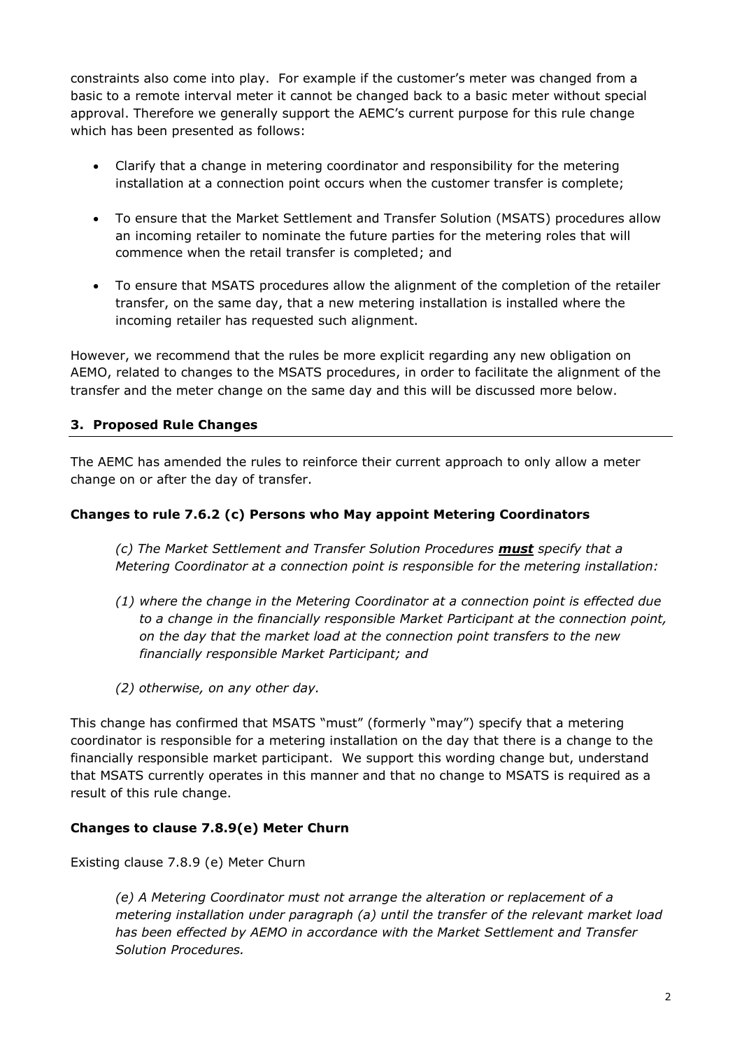constraints also come into play. For example if the customer's meter was changed from a basic to a remote interval meter it cannot be changed back to a basic meter without special approval. Therefore we generally support the AEMC's current purpose for this rule change which has been presented as follows:

- Clarify that a change in metering coordinator and responsibility for the metering installation at a connection point occurs when the customer transfer is complete;
- To ensure that the Market Settlement and Transfer Solution (MSATS) procedures allow an incoming retailer to nominate the future parties for the metering roles that will commence when the retail transfer is completed; and
- To ensure that MSATS procedures allow the alignment of the completion of the retailer transfer, on the same day, that a new metering installation is installed where the incoming retailer has requested such alignment.

However, we recommend that the rules be more explicit regarding any new obligation on AEMO, related to changes to the MSATS procedures, in order to facilitate the alignment of the transfer and the meter change on the same day and this will be discussed more below.

## **3. Proposed Rule Changes**

The AEMC has amended the rules to reinforce their current approach to only allow a meter change on or after the day of transfer.

## **Changes to rule 7.6.2 (c) Persons who May appoint Metering Coordinators**

*(c) The Market Settlement and Transfer Solution Procedures must specify that a Metering Coordinator at a connection point is responsible for the metering installation:* 

- *(1) where the change in the Metering Coordinator at a connection point is effected due to a change in the financially responsible Market Participant at the connection point, on the day that the market load at the connection point transfers to the new financially responsible Market Participant; and*
- *(2) otherwise, on any other day.*

This change has confirmed that MSATS "must" (formerly "may") specify that a metering coordinator is responsible for a metering installation on the day that there is a change to the financially responsible market participant. We support this wording change but, understand that MSATS currently operates in this manner and that no change to MSATS is required as a result of this rule change.

### **Changes to clause 7.8.9(e) Meter Churn**

Existing clause 7.8.9 (e) Meter Churn

*(e) A Metering Coordinator must not arrange the alteration or replacement of a metering installation under paragraph (a) until the transfer of the relevant market load has been effected by AEMO in accordance with the Market Settlement and Transfer Solution Procedures.*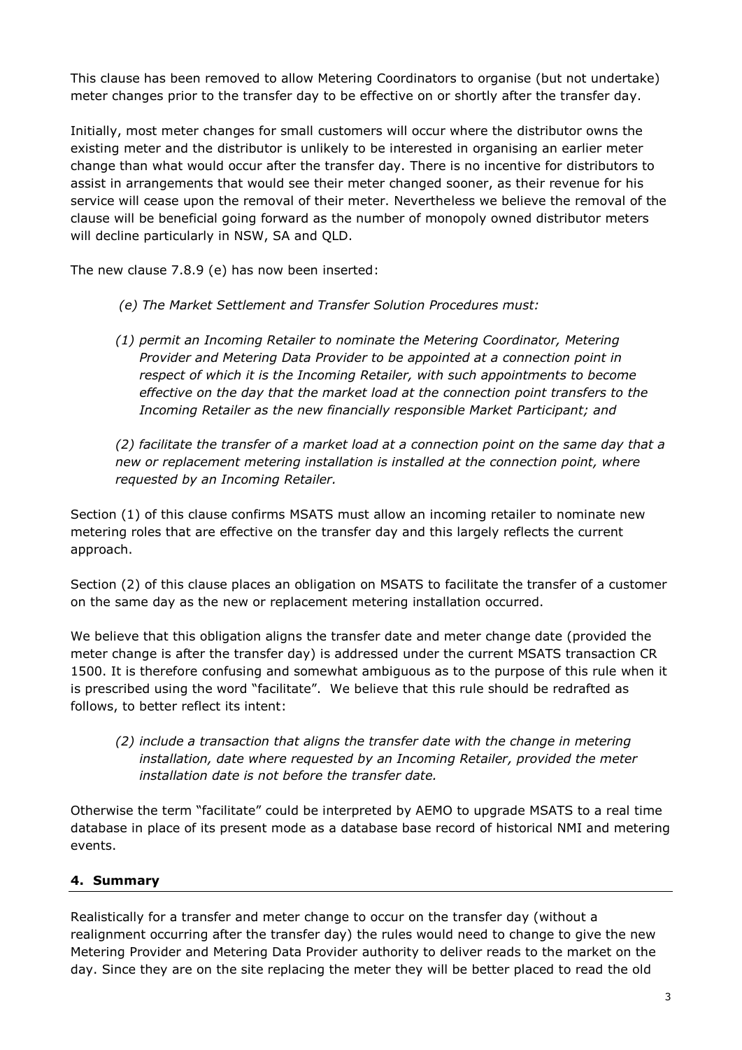This clause has been removed to allow Metering Coordinators to organise (but not undertake) meter changes prior to the transfer day to be effective on or shortly after the transfer day.

Initially, most meter changes for small customers will occur where the distributor owns the existing meter and the distributor is unlikely to be interested in organising an earlier meter change than what would occur after the transfer day. There is no incentive for distributors to assist in arrangements that would see their meter changed sooner, as their revenue for his service will cease upon the removal of their meter. Nevertheless we believe the removal of the clause will be beneficial going forward as the number of monopoly owned distributor meters will decline particularly in NSW, SA and QLD.

The new clause 7.8.9 (e) has now been inserted:

- *(e) The Market Settlement and Transfer Solution Procedures must:*
- *(1) permit an Incoming Retailer to nominate the Metering Coordinator, Metering Provider and Metering Data Provider to be appointed at a connection point in respect of which it is the Incoming Retailer, with such appointments to become effective on the day that the market load at the connection point transfers to the Incoming Retailer as the new financially responsible Market Participant; and*

*(2) facilitate the transfer of a market load at a connection point on the same day that a new or replacement metering installation is installed at the connection point, where requested by an Incoming Retailer.*

Section (1) of this clause confirms MSATS must allow an incoming retailer to nominate new metering roles that are effective on the transfer day and this largely reflects the current approach.

Section (2) of this clause places an obligation on MSATS to facilitate the transfer of a customer on the same day as the new or replacement metering installation occurred.

We believe that this obligation aligns the transfer date and meter change date (provided the meter change is after the transfer day) is addressed under the current MSATS transaction CR 1500. It is therefore confusing and somewhat ambiguous as to the purpose of this rule when it is prescribed using the word "facilitate". We believe that this rule should be redrafted as follows, to better reflect its intent:

*(2) include a transaction that aligns the transfer date with the change in metering installation, date where requested by an Incoming Retailer, provided the meter installation date is not before the transfer date.*

Otherwise the term "facilitate" could be interpreted by AEMO to upgrade MSATS to a real time database in place of its present mode as a database base record of historical NMI and metering events.

# **4. Summary**

Realistically for a transfer and meter change to occur on the transfer day (without a realignment occurring after the transfer day) the rules would need to change to give the new Metering Provider and Metering Data Provider authority to deliver reads to the market on the day. Since they are on the site replacing the meter they will be better placed to read the old